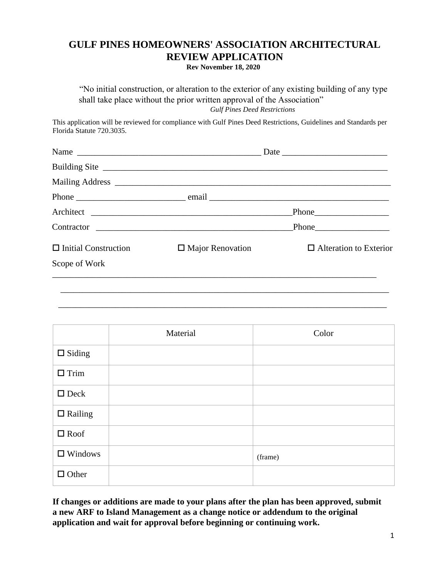## **GULF PINES HOMEOWNERS' ASSOCIATION ARCHITECTURAL REVIEW APPLICATION**

**Rev November 18, 2020**

"No initial construction, or alteration to the exterior of any existing building of any type shall take place without the prior written approval of the Association" *Gulf Pines Deed Restrictions* 

This application will be reviewed for compliance with Gulf Pines Deed Restrictions, Guidelines and Standards per Florida Statute 720.3035.

|                             | Contractor              |                               |
|-----------------------------|-------------------------|-------------------------------|
| $\Box$ Initial Construction | $\Box$ Major Renovation | $\Box$ Alteration to Exterior |
| Scope of Work               |                         |                               |
|                             |                         |                               |
|                             |                         |                               |
|                             |                         |                               |

|                | Material | Color   |
|----------------|----------|---------|
| $\Box$ Siding  |          |         |
| $\Box$ Trim    |          |         |
| $\Box$ Deck    |          |         |
| $\Box$ Railing |          |         |
| $\square$ Roof |          |         |
| $\Box$ Windows |          | (frame) |
| $\Box$ Other   |          |         |

**If changes or additions are made to your plans after the plan has been approved, submit a new ARF to Island Management as a change notice or addendum to the original application and wait for approval before beginning or continuing work.**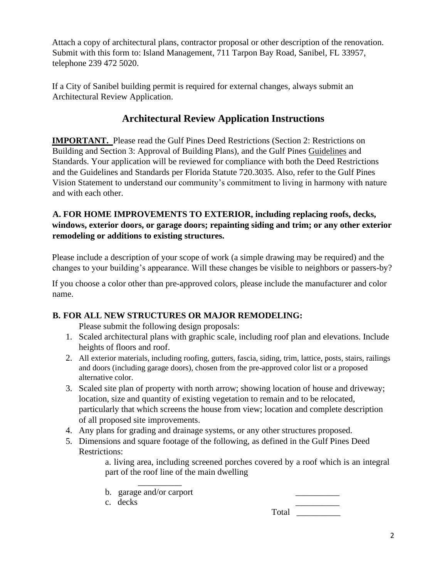Attach a copy of architectural plans, contractor proposal or other description of the renovation. Submit with this form to: Island Management, 711 Tarpon Bay Road, Sanibel, FL 33957, telephone 239 472 5020.

If a City of Sanibel building permit is required for external changes, always submit an Architectural Review Application.

## **Architectural Review Application Instructions**

**IMPORTANT.** Please read the Gulf Pines [Deed Restrictions](http://gulfpinessanibel.com/restrictions.cfm) (Section 2: Restrictions on Building and Section 3: Approval of Building Plans), and the Gulf Pines [Guidelines](http://www.gulfpinessanibel.com/docs/archforms/2/Gulf_Pines_Guidelines_20170317.pdf) and [Standards.](http://www.gulfpinessanibel.com/docs/archforms/3/Gulf_Pines_Standards_20170317.pdf) Your application will be reviewed for compliance with both the Deed Restrictions and the Guidelines and Standards per Florida Statute 720.3035. Also, refer to the Gulf Pines [Vision Statement](http://gulfpinessanibel.com/vision.cfm) to understand our community's commitment to living in harmony with nature and with each other.

## **A. FOR HOME IMPROVEMENTS TO EXTERIOR, including replacing roofs, decks, windows, exterior doors, or garage doors; repainting siding and trim; or any other exterior remodeling or additions to existing structures.**

Please include a description of your scope of work (a simple drawing may be required) and the changes to your building's appearance. Will these changes be visible to neighbors or passers-by?

If you choose a color other than pre-approved colors, please include the manufacturer and color name.

## **B. FOR ALL NEW STRUCTURES OR MAJOR REMODELING:**

Please submit the following design proposals:

- 1. Scaled architectural plans with graphic scale, including roof plan and elevations. Include heights of floors and roof.
- 2. All exterior materials, including roofing, gutters, fascia, siding, trim, lattice, posts, stairs, railings and doors (including garage doors), chosen from the pre-approved color list or a proposed alternative color.
- 3. Scaled site plan of property with north arrow; showing location of house and driveway; location, size and quantity of existing vegetation to remain and to be relocated, particularly that which screens the house from view; location and complete description of all proposed site improvements.
- 4. Any plans for grading and drainage systems, or any other structures proposed.
- 5. Dimensions and square footage of the following, as defined in the Gulf Pines Deed Restrictions:

a. living area, including screened porches covered by a roof which is an integral part of the roof line of the main dwelling

b. garage and/or carport

 $\overline{\phantom{a}}$ 

c. decks \_\_\_\_\_\_\_\_\_\_

Total